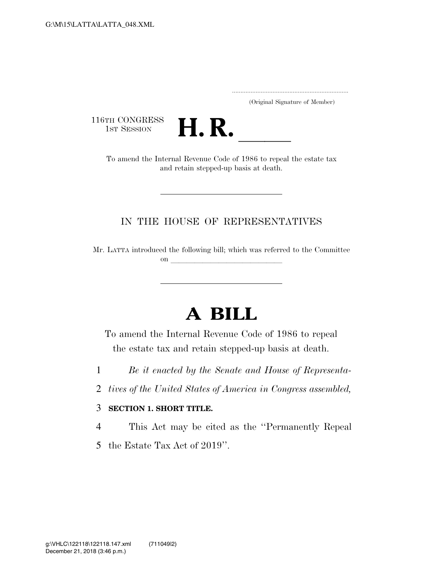..................................................................... (Original Signature of Member)

116TH CONGRESS<br>1st Session



TH CONGRESS<br>1st SESSION **H. R. CONGRESS**<br>To amend the Internal Revenue Code of 1986 to repeal the estate tax and retain stepped-up basis at death.

## IN THE HOUSE OF REPRESENTATIVES

Mr. LATTA introduced the following bill; which was referred to the Committee on  $\overline{\qquad \qquad }$ 

## **A BILL**

To amend the Internal Revenue Code of 1986 to repeal the estate tax and retain stepped-up basis at death.

- 1 *Be it enacted by the Senate and House of Representa-*
- 2 *tives of the United States of America in Congress assembled,*

## 3 **SECTION 1. SHORT TITLE.**

- 4 This Act may be cited as the ''Permanently Repeal
- 5 the Estate Tax Act of 2019''.